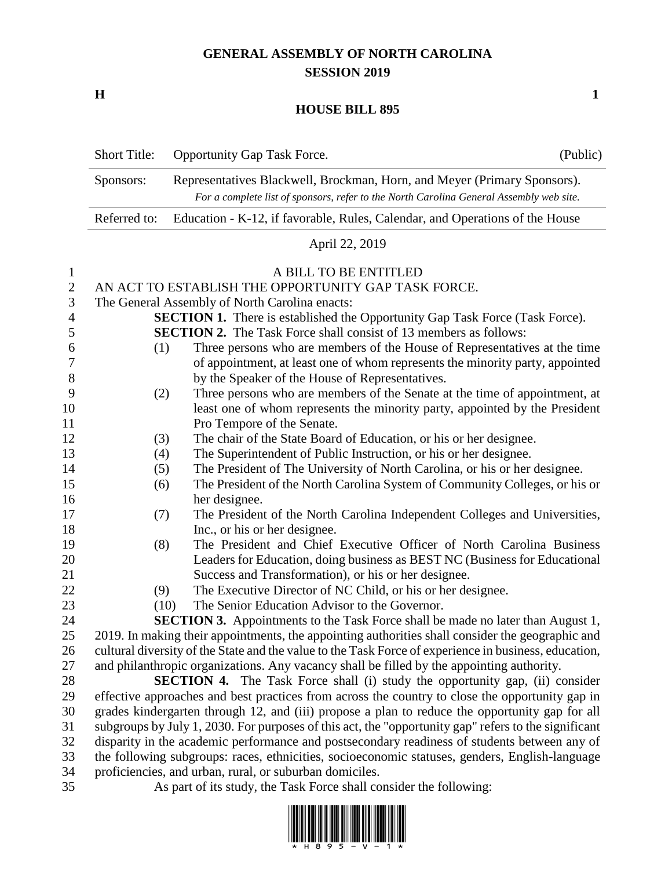## **GENERAL ASSEMBLY OF NORTH CAROLINA SESSION 2019**

**H 1**

## **HOUSE BILL 895**

|                                          | <b>Short Title:</b>                                                                                                                                                                                                   | <b>Opportunity Gap Task Force.</b>                                                                                                                                                                                                                                                        | (Public) |  |
|------------------------------------------|-----------------------------------------------------------------------------------------------------------------------------------------------------------------------------------------------------------------------|-------------------------------------------------------------------------------------------------------------------------------------------------------------------------------------------------------------------------------------------------------------------------------------------|----------|--|
|                                          | Sponsors:                                                                                                                                                                                                             | Representatives Blackwell, Brockman, Horn, and Meyer (Primary Sponsors).<br>For a complete list of sponsors, refer to the North Carolina General Assembly web site.                                                                                                                       |          |  |
|                                          | Referred to:                                                                                                                                                                                                          | Education - K-12, if favorable, Rules, Calendar, and Operations of the House                                                                                                                                                                                                              |          |  |
|                                          |                                                                                                                                                                                                                       | April 22, 2019                                                                                                                                                                                                                                                                            |          |  |
| 1<br>$\mathbf{2}$<br>3<br>$\overline{4}$ | A BILL TO BE ENTITLED<br>AN ACT TO ESTABLISH THE OPPORTUNITY GAP TASK FORCE.<br>The General Assembly of North Carolina enacts:<br><b>SECTION 1.</b> There is established the Opportunity Gap Task Force (Task Force). |                                                                                                                                                                                                                                                                                           |          |  |
| 5<br>6<br>7<br>$8\,$                     | (1)                                                                                                                                                                                                                   | <b>SECTION 2.</b> The Task Force shall consist of 13 members as follows:<br>Three persons who are members of the House of Representatives at the time<br>of appointment, at least one of whom represents the minority party, appointed<br>by the Speaker of the House of Representatives. |          |  |
| 9<br>10<br>11                            | (2)                                                                                                                                                                                                                   | Three persons who are members of the Senate at the time of appointment, at<br>least one of whom represents the minority party, appointed by the President<br>Pro Tempore of the Senate.                                                                                                   |          |  |
| 12                                       | (3)                                                                                                                                                                                                                   | The chair of the State Board of Education, or his or her designee.                                                                                                                                                                                                                        |          |  |
| 13                                       | (4)                                                                                                                                                                                                                   | The Superintendent of Public Instruction, or his or her designee.                                                                                                                                                                                                                         |          |  |
| 14                                       | (5)                                                                                                                                                                                                                   | The President of The University of North Carolina, or his or her designee.                                                                                                                                                                                                                |          |  |
| 15                                       | (6)                                                                                                                                                                                                                   | The President of the North Carolina System of Community Colleges, or his or                                                                                                                                                                                                               |          |  |
| 16                                       |                                                                                                                                                                                                                       | her designee.                                                                                                                                                                                                                                                                             |          |  |
| 17<br>18                                 | (7)                                                                                                                                                                                                                   | The President of the North Carolina Independent Colleges and Universities,                                                                                                                                                                                                                |          |  |
| 19                                       | (8)                                                                                                                                                                                                                   | Inc., or his or her designee.<br>The President and Chief Executive Officer of North Carolina Business                                                                                                                                                                                     |          |  |
| 20                                       |                                                                                                                                                                                                                       | Leaders for Education, doing business as BEST NC (Business for Educational                                                                                                                                                                                                                |          |  |
| 21                                       |                                                                                                                                                                                                                       | Success and Transformation), or his or her designee.                                                                                                                                                                                                                                      |          |  |
| 22                                       | (9)                                                                                                                                                                                                                   | The Executive Director of NC Child, or his or her designee.                                                                                                                                                                                                                               |          |  |
| 23                                       | (10)                                                                                                                                                                                                                  | The Senior Education Advisor to the Governor.                                                                                                                                                                                                                                             |          |  |
| 24                                       |                                                                                                                                                                                                                       | <b>SECTION 3.</b> Appointments to the Task Force shall be made no later than August 1,                                                                                                                                                                                                    |          |  |
| 25                                       |                                                                                                                                                                                                                       | 2019. In making their appointments, the appointing authorities shall consider the geographic and                                                                                                                                                                                          |          |  |
| 26                                       | cultural diversity of the State and the value to the Task Force of experience in business, education,                                                                                                                 |                                                                                                                                                                                                                                                                                           |          |  |
| 27                                       |                                                                                                                                                                                                                       | and philanthropic organizations. Any vacancy shall be filled by the appointing authority.                                                                                                                                                                                                 |          |  |
| 28                                       | <b>SECTION 4.</b> The Task Force shall (i) study the opportunity gap, (ii) consider                                                                                                                                   |                                                                                                                                                                                                                                                                                           |          |  |
| 29                                       | effective approaches and best practices from across the country to close the opportunity gap in                                                                                                                       |                                                                                                                                                                                                                                                                                           |          |  |
| 30                                       |                                                                                                                                                                                                                       | grades kindergarten through 12, and (iii) propose a plan to reduce the opportunity gap for all                                                                                                                                                                                            |          |  |
| 31                                       | subgroups by July 1, 2030. For purposes of this act, the "opportunity gap" refers to the significant                                                                                                                  |                                                                                                                                                                                                                                                                                           |          |  |
| 32                                       | disparity in the academic performance and postsecondary readiness of students between any of                                                                                                                          |                                                                                                                                                                                                                                                                                           |          |  |
| 33                                       | the following subgroups: races, ethnicities, socioeconomic statuses, genders, English-language                                                                                                                        |                                                                                                                                                                                                                                                                                           |          |  |

- proficiencies, and urban, rural, or suburban domiciles.
- 

As part of its study, the Task Force shall consider the following:

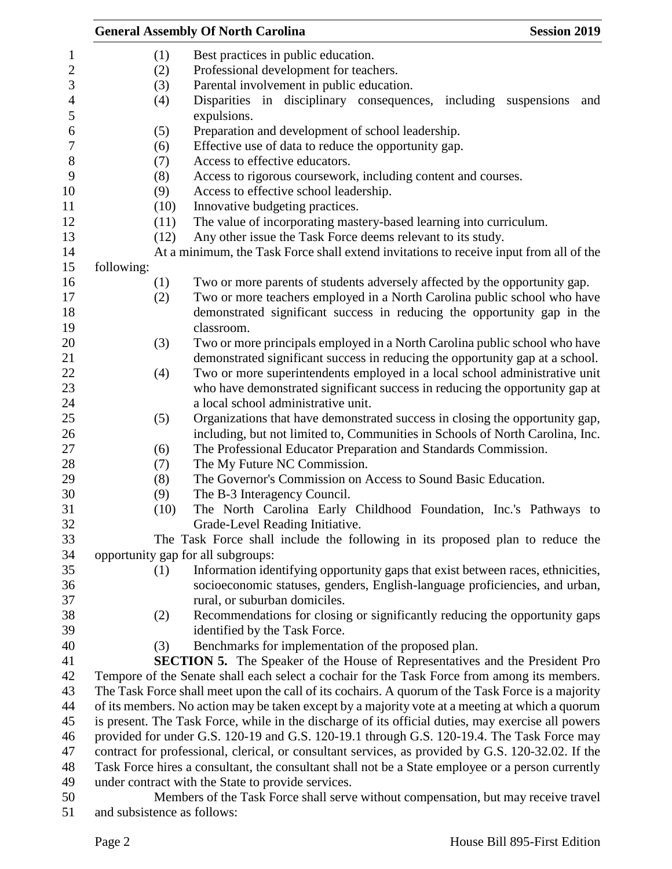|                |                                                                                                                                                                                                  | <b>General Assembly Of North Carolina</b>                                                          | <b>Session 2019</b> |
|----------------|--------------------------------------------------------------------------------------------------------------------------------------------------------------------------------------------------|----------------------------------------------------------------------------------------------------|---------------------|
| $\mathbf{1}$   | (1)                                                                                                                                                                                              | Best practices in public education.                                                                |                     |
| $\overline{c}$ | (2)                                                                                                                                                                                              | Professional development for teachers.                                                             |                     |
| 3              | (3)                                                                                                                                                                                              | Parental involvement in public education.                                                          |                     |
| $\overline{4}$ | (4)                                                                                                                                                                                              | Disparities in disciplinary consequences, including                                                | suspensions<br>and  |
| 5              |                                                                                                                                                                                                  | expulsions.                                                                                        |                     |
| $\sqrt{6}$     | (5)                                                                                                                                                                                              | Preparation and development of school leadership.                                                  |                     |
| $\tau$         | (6)                                                                                                                                                                                              | Effective use of data to reduce the opportunity gap.                                               |                     |
| $8\,$<br>9     | (7)                                                                                                                                                                                              | Access to effective educators.                                                                     |                     |
| 10             | (8)                                                                                                                                                                                              | Access to rigorous coursework, including content and courses.                                      |                     |
|                | (9)                                                                                                                                                                                              | Access to effective school leadership.                                                             |                     |
|                | (10)                                                                                                                                                                                             | Innovative budgeting practices.                                                                    |                     |
|                | (11)                                                                                                                                                                                             | The value of incorporating mastery-based learning into curriculum.                                 |                     |
|                | (12)                                                                                                                                                                                             | Any other issue the Task Force deems relevant to its study.                                        |                     |
|                |                                                                                                                                                                                                  | At a minimum, the Task Force shall extend invitations to receive input from all of the             |                     |
|                | following:                                                                                                                                                                                       |                                                                                                    |                     |
|                | (1)                                                                                                                                                                                              | Two or more parents of students adversely affected by the opportunity gap.                         |                     |
|                | (2)                                                                                                                                                                                              | Two or more teachers employed in a North Carolina public school who have                           |                     |
|                |                                                                                                                                                                                                  | demonstrated significant success in reducing the opportunity gap in the                            |                     |
|                |                                                                                                                                                                                                  | classroom.                                                                                         |                     |
|                | (3)                                                                                                                                                                                              | Two or more principals employed in a North Carolina public school who have                         |                     |
|                |                                                                                                                                                                                                  | demonstrated significant success in reducing the opportunity gap at a school.                      |                     |
|                | (4)                                                                                                                                                                                              | Two or more superintendents employed in a local school administrative unit                         |                     |
|                |                                                                                                                                                                                                  | who have demonstrated significant success in reducing the opportunity gap at                       |                     |
|                |                                                                                                                                                                                                  | a local school administrative unit.                                                                |                     |
|                | (5)                                                                                                                                                                                              | Organizations that have demonstrated success in closing the opportunity gap,                       |                     |
|                |                                                                                                                                                                                                  | including, but not limited to, Communities in Schools of North Carolina, Inc.                      |                     |
|                | (6)                                                                                                                                                                                              | The Professional Educator Preparation and Standards Commission.                                    |                     |
|                | (7)                                                                                                                                                                                              | The My Future NC Commission.                                                                       |                     |
|                | (8)                                                                                                                                                                                              | The Governor's Commission on Access to Sound Basic Education.                                      |                     |
|                | (9)                                                                                                                                                                                              | The B-3 Interagency Council.                                                                       |                     |
|                | (10)                                                                                                                                                                                             | The North Carolina Early Childhood Foundation, Inc.'s Pathways to                                  |                     |
|                |                                                                                                                                                                                                  | Grade-Level Reading Initiative.                                                                    |                     |
|                |                                                                                                                                                                                                  | The Task Force shall include the following in its proposed plan to reduce the                      |                     |
|                |                                                                                                                                                                                                  | opportunity gap for all subgroups:                                                                 |                     |
|                | (1)                                                                                                                                                                                              | Information identifying opportunity gaps that exist between races, ethnicities,                    |                     |
|                |                                                                                                                                                                                                  | socioeconomic statuses, genders, English-language proficiencies, and urban,                        |                     |
|                |                                                                                                                                                                                                  | rural, or suburban domiciles.                                                                      |                     |
|                | (2)                                                                                                                                                                                              | Recommendations for closing or significantly reducing the opportunity gaps                         |                     |
|                |                                                                                                                                                                                                  | identified by the Task Force.                                                                      |                     |
|                | (3)                                                                                                                                                                                              | Benchmarks for implementation of the proposed plan.                                                |                     |
|                |                                                                                                                                                                                                  | <b>SECTION 5.</b> The Speaker of the House of Representatives and the President Pro                |                     |
|                |                                                                                                                                                                                                  | Tempore of the Senate shall each select a cochair for the Task Force from among its members.       |                     |
|                | The Task Force shall meet upon the call of its cochairs. A quorum of the Task Force is a majority                                                                                                |                                                                                                    |                     |
|                | of its members. No action may be taken except by a majority vote at a meeting at which a quorum                                                                                                  |                                                                                                    |                     |
|                | is present. The Task Force, while in the discharge of its official duties, may exercise all powers<br>provided for under G.S. 120-19 and G.S. 120-19.1 through G.S. 120-19.4. The Task Force may |                                                                                                    |                     |
|                |                                                                                                                                                                                                  |                                                                                                    |                     |
|                |                                                                                                                                                                                                  | contract for professional, clerical, or consultant services, as provided by G.S. 120-32.02. If the |                     |
|                |                                                                                                                                                                                                  | Task Force hires a consultant, the consultant shall not be a State employee or a person currently  |                     |
|                |                                                                                                                                                                                                  | under contract with the State to provide services.                                                 |                     |
|                |                                                                                                                                                                                                  | Members of the Task Force shall serve without compensation, but may receive travel                 |                     |
|                | and subsistence as follows:                                                                                                                                                                      |                                                                                                    |                     |